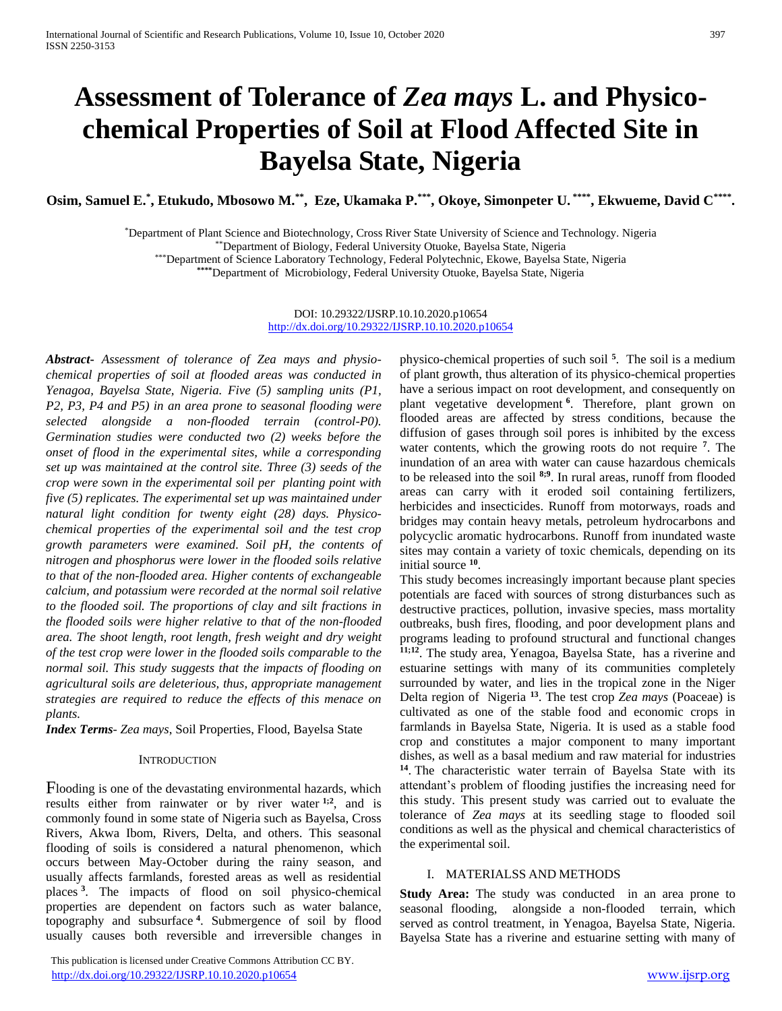# **Assessment of Tolerance of** *Zea mays* **L. and Physicochemical Properties of Soil at Flood Affected Site in Bayelsa State, Nigeria**

**Osim, Samuel E.\* , Etukudo, Mbosowo M.\*\* , Eze, Ukamaka P.\*\*\* , Okoye, Simonpeter U. \*\*\*\* , Ekwueme, David C\*\*\*\* .**

\*Department of Plant Science and Biotechnology, Cross River State University of Science and Technology. Nigeria

\*\*Department of Biology, Federal University Otuoke, Bayelsa State, Nigeria

\*\*\*Department of Science Laboratory Technology, Federal Polytechnic, Ekowe, Bayelsa State, Nigeria

**\*\*\*\***Department of Microbiology, Federal University Otuoke, Bayelsa State, Nigeria

DOI: 10.29322/IJSRP.10.10.2020.p10654 <http://dx.doi.org/10.29322/IJSRP.10.10.2020.p10654>

*Abstract***-** *Assessment of tolerance of Zea mays and physiochemical properties of soil at flooded areas was conducted in Yenagoa, Bayelsa State, Nigeria. Five (5) sampling units (P1, P2, P3, P4 and P5) in an area prone to seasonal flooding were selected alongside a non-flooded terrain (control-P0). Germination studies were conducted two (2) weeks before the onset of flood in the experimental sites, while a corresponding set up was maintained at the control site. Three (3) seeds of the crop were sown in the experimental soil per planting point with five (5) replicates. The experimental set up was maintained under natural light condition for twenty eight (28) days. Physicochemical properties of the experimental soil and the test crop growth parameters were examined. Soil pH, the contents of nitrogen and phosphorus were lower in the flooded soils relative to that of the non-flooded area. Higher contents of exchangeable calcium, and potassium were recorded at the normal soil relative to the flooded soil. The proportions of clay and silt fractions in the flooded soils were higher relative to that of the non-flooded area. The shoot length, root length, fresh weight and dry weight of the test crop were lower in the flooded soils comparable to the normal soil. This study suggests that the impacts of flooding on agricultural soils are deleterious, thus, appropriate management strategies are required to reduce the effects of this menace on plants.* 

*Index Terms*- *Zea mays*, Soil Properties, Flood, Bayelsa State

## **INTRODUCTION**

Flooding is one of the devastating environmental hazards, which results either from rainwater or by river water **1;2**, and is commonly found in some state of Nigeria such as Bayelsa, Cross Rivers, Akwa Ibom, Rivers, Delta, and others. This seasonal flooding of soils is considered a natural phenomenon, which occurs between May-October during the rainy season, and usually affects farmlands, forested areas as well as residential places **<sup>3</sup>** . The impacts of flood on soil physico-chemical properties are dependent on factors such as water balance, topography and subsurface **<sup>4</sup>** . Submergence of soil by flood usually causes both reversible and irreversible changes in

 This publication is licensed under Creative Commons Attribution CC BY. <http://dx.doi.org/10.29322/IJSRP.10.10.2020.p10654> [www.ijsrp.org](http://ijsrp.org/)

physico-chemical properties of such soil **<sup>5</sup>** . The soil is a medium of plant growth, thus alteration of its physico-chemical properties have a serious impact on root development, and consequently on plant vegetative development **<sup>6</sup>** . Therefore, plant grown on flooded areas are affected by stress conditions, because the diffusion of gases through soil pores is inhibited by the excess water contents, which the growing roots do not require **<sup>7</sup>** . The inundation of an area with water can cause hazardous chemicals to be released into the soil **8;9**. In rural areas, runoff from flooded areas can carry with it eroded soil containing fertilizers, herbicides and insecticides. Runoff from motorways, roads and bridges may contain heavy metals, petroleum hydrocarbons and polycyclic aromatic hydrocarbons. Runoff from inundated waste sites may contain a variety of toxic chemicals, depending on its initial source **<sup>10</sup>** .

This study becomes increasingly important because plant species potentials are faced with sources of strong disturbances such as destructive practices, pollution, invasive species, mass mortality outbreaks, bush fires, flooding, and poor development plans and programs leading to profound structural and functional changes **11;12**. The study area, Yenagoa, Bayelsa State, has a riverine and estuarine settings with many of its communities completely surrounded by water, and lies in the tropical zone in the Niger Delta region of Nigeria **<sup>13</sup>** . The test crop *Zea mays* (Poaceae) is cultivated as one of the stable food and economic crops in farmlands in Bayelsa State, Nigeria. It is used as a stable food crop and constitutes a major component to many important dishes, as well as a basal medium and raw material for industries **14** . The characteristic water terrain of Bayelsa State with its attendant's problem of flooding justifies the increasing need for this study. This present study was carried out to evaluate the tolerance of *Zea mays* at its seedling stage to flooded soil conditions as well as the physical and chemical characteristics of the experimental soil.

## I. MATERIALSS AND METHODS

**Study Area:** The study was conducted in an area prone to seasonal flooding, alongside a non-flooded terrain, which served as control treatment, in Yenagoa, Bayelsa State, Nigeria. Bayelsa State has a riverine and estuarine setting with many of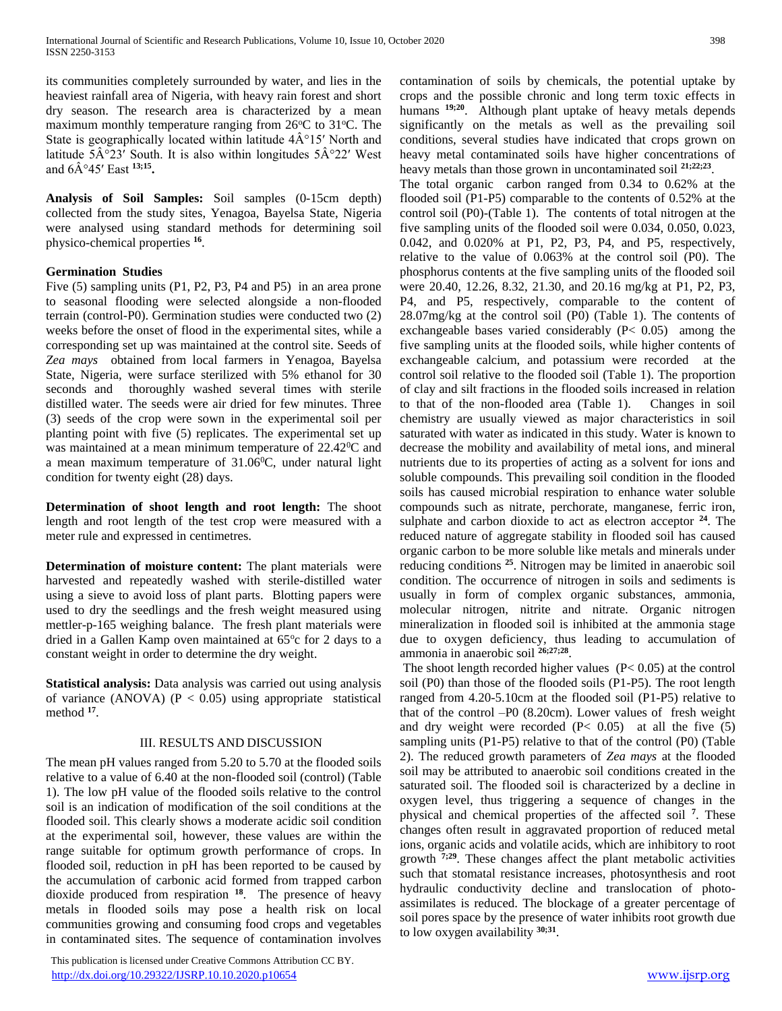its communities completely surrounded by water, and lies in the heaviest rainfall area of Nigeria, with heavy rain forest and short dry season. The research area is characterized by a mean maximum monthly temperature ranging from  $26^{\circ}$ C to  $31^{\circ}$ C. The State is geographically located within latitude  $4\hat{A}^{\circ}15'$  North and latitude  $5\hat{A}^{\circ}23'$  South. It is also within longitudes  $5\hat{A}^{\circ}22'$  West and 6°45′ East **13;15 .**

**Analysis of Soil Samples:** Soil samples (0-15cm depth) collected from the study sites, Yenagoa, Bayelsa State, Nigeria were analysed using standard methods for determining soil physico-chemical properties **<sup>16</sup>** .

# **Germination Studies**

Five (5) sampling units (P1, P2, P3, P4 and P5) in an area prone to seasonal flooding were selected alongside a non-flooded terrain (control-P0). Germination studies were conducted two (2) weeks before the onset of flood in the experimental sites, while a corresponding set up was maintained at the control site. Seeds of *Zea mays* obtained from local farmers in Yenagoa, Bayelsa State, Nigeria, were surface sterilized with 5% ethanol for 30 seconds and thoroughly washed several times with sterile distilled water. The seeds were air dried for few minutes. Three (3) seeds of the crop were sown in the experimental soil per planting point with five (5) replicates. The experimental set up was maintained at a mean minimum temperature of 22.42<sup>0</sup>C and a mean maximum temperature of  $31.06^{\circ}$ C, under natural light condition for twenty eight (28) days.

**Determination of shoot length and root length:** The shoot length and root length of the test crop were measured with a meter rule and expressed in centimetres.

**Determination of moisture content:** The plant materials were harvested and repeatedly washed with sterile-distilled water using a sieve to avoid loss of plant parts. Blotting papers were used to dry the seedlings and the fresh weight measured using mettler-p-165 weighing balance. The fresh plant materials were dried in a Gallen Kamp oven maintained at 65°c for 2 days to a constant weight in order to determine the dry weight.

**Statistical analysis:** Data analysis was carried out using analysis of variance (ANOVA) ( $P < 0.05$ ) using appropriate statistical method **<sup>17</sup>** .

# III. RESULTS AND DISCUSSION

The mean pH values ranged from 5.20 to 5.70 at the flooded soils relative to a value of 6.40 at the non-flooded soil (control) (Table 1). The low pH value of the flooded soils relative to the control soil is an indication of modification of the soil conditions at the flooded soil. This clearly shows a moderate acidic soil condition at the experimental soil, however, these values are within the range suitable for optimum growth performance of crops. In flooded soil, reduction in pH has been reported to be caused by the accumulation of carbonic acid formed from trapped carbon dioxide produced from respiration **<sup>18</sup>**. The presence of heavy metals in flooded soils may pose a health risk on local communities growing and consuming food crops and vegetables in contaminated sites. The sequence of contamination involves

 This publication is licensed under Creative Commons Attribution CC BY. <http://dx.doi.org/10.29322/IJSRP.10.10.2020.p10654> [www.ijsrp.org](http://ijsrp.org/)

contamination of soils by chemicals, the potential uptake by crops and the possible chronic and long term toxic effects in humans **19;20**. Although plant uptake of heavy metals depends significantly on the metals as well as the prevailing soil conditions, several studies have indicated that crops grown on heavy metal contaminated soils have higher concentrations of heavy metals than those grown in uncontaminated soil **21;22;23** .

The total organic carbon ranged from 0.34 to 0.62% at the flooded soil (P1-P5) comparable to the contents of 0.52% at the control soil (P0)-(Table 1). The contents of total nitrogen at the five sampling units of the flooded soil were 0.034, 0.050, 0.023, 0.042, and 0.020% at P1, P2, P3, P4, and P5, respectively, relative to the value of 0.063% at the control soil (P0). The phosphorus contents at the five sampling units of the flooded soil were 20.40, 12.26, 8.32, 21.30, and 20.16 mg/kg at P1, P2, P3, P4, and P5, respectively, comparable to the content of 28.07mg/kg at the control soil (P0) (Table 1). The contents of exchangeable bases varied considerably (P< 0.05) among the five sampling units at the flooded soils, while higher contents of exchangeable calcium, and potassium were recorded at the control soil relative to the flooded soil (Table 1). The proportion of clay and silt fractions in the flooded soils increased in relation to that of the non-flooded area (Table 1). Changes in soil chemistry are usually viewed as major characteristics in soil saturated with water as indicated in this study. Water is known to decrease the mobility and availability of metal ions, and mineral nutrients due to its properties of acting as a solvent for ions and soluble compounds. This prevailing soil condition in the flooded soils has caused microbial respiration to enhance water soluble compounds such as nitrate, perchorate, manganese, ferric iron, sulphate and carbon dioxide to act as electron acceptor **<sup>24</sup>**. The reduced nature of aggregate stability in flooded soil has caused organic carbon to be more soluble like metals and minerals under reducing conditions **<sup>25</sup>** . Nitrogen may be limited in anaerobic soil condition. The occurrence of nitrogen in soils and sediments is usually in form of complex organic substances, ammonia, molecular nitrogen, nitrite and nitrate. Organic nitrogen mineralization in flooded soil is inhibited at the ammonia stage due to oxygen deficiency, thus leading to accumulation of ammonia in anaerobic soil **26;27;28** .

The shoot length recorded higher values  $(P< 0.05)$  at the control soil (P0) than those of the flooded soils (P1-P5). The root length ranged from 4.20-5.10cm at the flooded soil (P1-P5) relative to that of the control –P0 (8.20cm). Lower values of fresh weight and dry weight were recorded  $(P< 0.05)$  at all the five  $(5)$ sampling units (P1-P5) relative to that of the control (P0) (Table 2). The reduced growth parameters of *Zea mays* at the flooded soil may be attributed to anaerobic soil conditions created in the saturated soil. The flooded soil is characterized by a decline in oxygen level, thus triggering a sequence of changes in the physical and chemical properties of the affected soil **<sup>7</sup>** . These changes often result in aggravated proportion of reduced metal ions, organic acids and volatile acids, which are inhibitory to root growth  $7,29$ . These changes affect the plant metabolic activities such that stomatal resistance increases, photosynthesis and root hydraulic conductivity decline and translocation of photoassimilates is reduced. The blockage of a greater percentage of soil pores space by the presence of water inhibits root growth due to low oxygen availability **30;31** .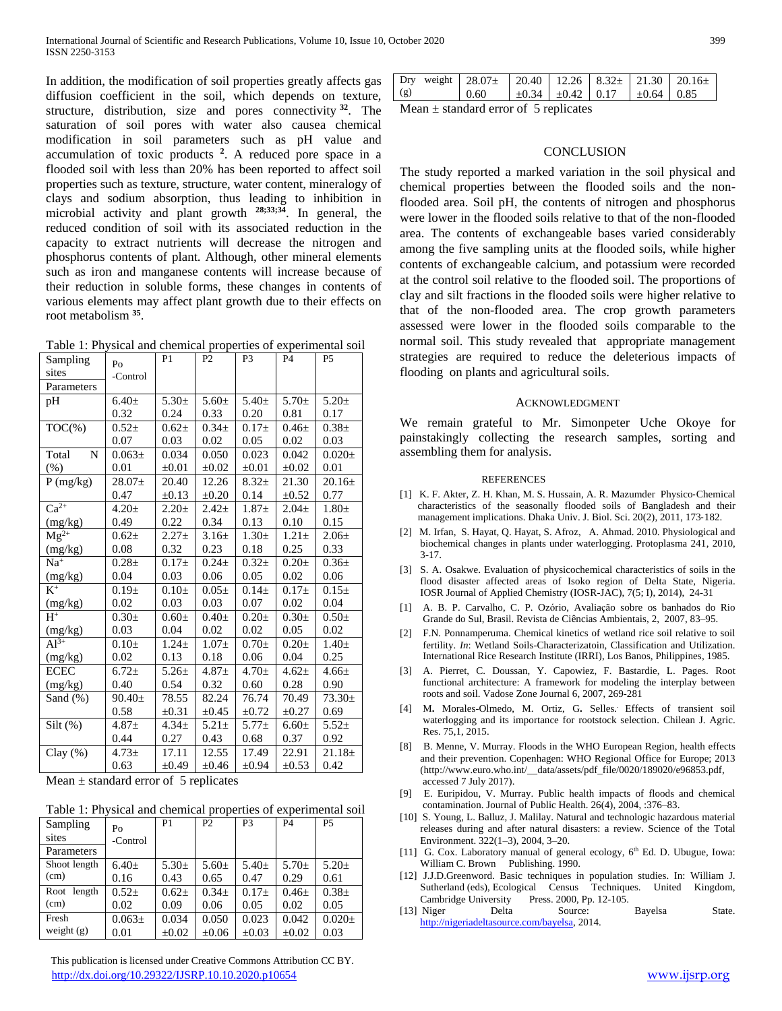In addition, the modification of soil properties greatly affects gas diffusion coefficient in the soil, which depends on texture, structure, distribution, size and pores connectivity **<sup>32</sup>**. The saturation of soil pores with water also causea chemical modification in soil parameters such as pH value and accumulation of toxic products **<sup>2</sup>** . A reduced pore space in a flooded soil with less than 20% has been reported to affect soil properties such as texture, structure, water content, mineralogy of clays and sodium absorption, thus leading to inhibition in microbial activity and plant growth **28;33;34** . In general, the reduced condition of soil with its associated reduction in the capacity to extract nutrients will decrease the nitrogen and phosphorus contents of plant. Although, other mineral elements such as iron and manganese contents will increase because of their reduction in soluble forms, these changes in contents of various elements may affect plant growth due to their effects on root metabolism **<sup>35</sup>** .

Table 1: Physical and chemical properties of experimental soil

| Sampling     | Po                | P <sub>1</sub> | P <sub>2</sub> | P <sub>3</sub> | <b>P4</b>  | P <sub>5</sub> |
|--------------|-------------------|----------------|----------------|----------------|------------|----------------|
| sites        | -Control          |                |                |                |            |                |
| Parameters   |                   |                |                |                |            |                |
| pH           | $6.40 \pm$        | $5.30 \pm$     | $5.60 \pm$     | $5.40 \pm$     | $5.70+$    | $5.20 \pm$     |
|              | 0.32              | 0.24           | 0.33           | 0.20           | 0.81       | 0.17           |
| $TOC(\% )$   | $0.52+$           | $0.62 \pm$     | $0.34\pm$      | $0.17+$        | $0.46 \pm$ | $0.38 +$       |
|              | 0.07              | 0.03           | 0.02           | 0.05           | 0.02       | 0.03           |
| N<br>Total   | $0.063\pm$        | 0.034          | 0.050          | 0.023          | 0.042      | $0.020 \pm$    |
| (% )         | 0.01              | $\pm 0.01$     | $\pm 0.02$     | $\pm 0.01$     | $\pm 0.02$ | 0.01           |
| P(mg/kg)     | $28.07+$          | 20.40          | 12.26          | $8.32+$        | 21.30      | $20.16 \pm$    |
|              | 0.47              | $\pm 0.13$     | $\pm 0.20$     | 0.14           | $\pm 0.52$ | 0.77           |
| $Ca^{2+}$    | $4.20 \pm$        | $2.20 \pm$     | $2.42+$        | $1.87 +$       | $2.04 \pm$ | $1.80 +$       |
| (mg/kg)      | 0.49              | 0.22           | 0.34           | 0.13           | 0.10       | 0.15           |
| $Mg^{2+}$    | $0.62\pm$         | $2.27 \pm$     | $3.16 \pm$     | $1.30\pm$      | $1.21 \pm$ | $2.06 \pm$     |
| (mg/kg)      | 0.08              | 0.32           | 0.23           | 0.18           | 0.25       | 0.33           |
| $Na+$        | $0.28 +$          | $0.17+$        | $0.24 \pm$     | $0.32+$        | $0.20 +$   | $0.36\pm$      |
| (mg/kg)      | 0.04              | 0.03           | 0.06           | 0.05           | 0.02       | 0.06           |
| $K^+$        | 0.19 <sub>±</sub> | $0.10+$        | $0.05\pm$      | $0.14\pm$      | $0.17+$    | $0.15+$        |
| (mg/kg)      | 0.02              | 0.03           | 0.03           | 0.07           | 0.02       | 0.04           |
| $H^+$        | $0.30+$           | $0.60\pm$      | $0.40 \pm$     | $0.20 \pm$     | $0.30\pm$  | $0.50+$        |
| (mg/kg)      | 0.03              | 0.04           | 0.02           | 0.02           | 0.05       | 0.02           |
| $Al^{3+}$    | $0.10+$           | $1.24 +$       | $1.07 +$       | $0.70+$        | $0.20 +$   | $1.40 \pm$     |
| (mg/kg)      | 0.02              | 0.13           | 0.18           | 0.06           | 0.04       | 0.25           |
| <b>ECEC</b>  | $6.72+$           | $5.26 \pm$     | $4.87 +$       | $4.70 \pm$     | $4.62 \pm$ | $4.66 \pm$     |
| (mg/kg)      | 0.40              | 0.54           | 0.32           | 0.60           | 0.28       | 0.90           |
| Sand (%)     | $90.40 \pm$       | 78.55          | 82.24          | 76.74          | 70.49      | $73.30+$       |
|              | 0.58              | $\pm 0.31$     | $\pm 0.45$     | $\pm 0.72$     | $\pm 0.27$ | 0.69           |
| $Silt$ (%)   | $4.87 +$          | $4.34 \pm$     | $5.21 \pm$     | $5.77+$        | $6.60 \pm$ | $5.52+$        |
|              | 0.44              | 0.27           | 0.43           | 0.68           | 0.37       | 0.92           |
| Clay $(\% )$ | $4.73 \pm$        | 17.11          | 12.55          | 17.49          | 22.91      | $21.18 \pm$    |
|              | 0.63              | $\pm 0.49$     | $\pm 0.46$     | $\pm 0.94$     | $\pm 0.53$ | 0.42           |

Mean  $\pm$  standard error of 5 replicates

| Table 1: Physical and chemical properties of experimental soil |  |  |
|----------------------------------------------------------------|--|--|
|----------------------------------------------------------------|--|--|

| Sampling<br>sites | Po<br>-Control | P <sub>1</sub> | P <sub>2</sub> | P <sub>3</sub> | <b>P4</b>  | <b>P5</b>   |
|-------------------|----------------|----------------|----------------|----------------|------------|-------------|
| Parameters        |                |                |                |                |            |             |
| Shoot length      | $6.40 \pm$     | $5.30+$        | $5.60 \pm$     | $5.40 \pm$     | $5.70+$    | $5.20+$     |
| (cm)              | 0.16           | 0.43           | 0.65           | 0.47           | 0.29       | 0.61        |
| Root length       | $0.52+$        | $0.62+$        | $0.34+$        | $0.17+$        | $0.46+$    | $0.38 +$    |
| (cm)              | 0.02           | 0.09           | 0.06           | 0.05           | 0.02       | 0.05        |
| Fresh             | $0.063\pm$     | 0.034          | 0.050          | 0.023          | 0.042      | $0.020 \pm$ |
| weight $(g)$      | 0.01           | $\pm 0.02$     | $\pm 0.06$     | $\pm 0.03$     | $\pm 0.02$ | 0.03        |

 This publication is licensed under Creative Commons Attribution CC BY. <http://dx.doi.org/10.29322/IJSRP.10.10.2020.p10654> [www.ijsrp.org](http://ijsrp.org/)

| $\pm 0.34$ $\pm 0.42$ 0.17 $\pm 0.64$ 0.85<br>(g)<br>0.60 |  | Dry weight $28.07 \pm 20.40$ 12.26 $8.32 \pm 21.30$ 20.16 $\pm$ |  |  |  |
|-----------------------------------------------------------|--|-----------------------------------------------------------------|--|--|--|
|                                                           |  |                                                                 |  |  |  |

Mean  $\pm$  standard error of 5 replicates

## **CONCLUSION**

The study reported a marked variation in the soil physical and chemical properties between the flooded soils and the nonflooded area. Soil pH, the contents of nitrogen and phosphorus were lower in the flooded soils relative to that of the non-flooded area. The contents of exchangeable bases varied considerably among the five sampling units at the flooded soils, while higher contents of exchangeable calcium, and potassium were recorded at the control soil relative to the flooded soil. The proportions of clay and silt fractions in the flooded soils were higher relative to that of the non-flooded area. The crop growth parameters assessed were lower in the flooded soils comparable to the normal soil. This study revealed that appropriate management strategies are required to reduce the deleterious impacts of flooding on plants and agricultural soils.

### ACKNOWLEDGMENT

We remain grateful to Mr. Simonpeter Uche Okoye for painstakingly collecting the research samples, sorting and assembling them for analysis.

#### **REFERENCES**

- [1] K. F. Akter, Z. H. Khan, M. S. Hussain, A. R. Mazumder Physico‐Chemical characteristics of the seasonally flooded soils of Bangladesh and their management implications. Dhaka Univ. J. Biol. Sci. 20(2), 2011, 173‐182.
- [2] M. Irfan, S. Hayat, Q. Hayat, S. Afroz, A. Ahmad. 2010. Physiological and biochemical changes in plants under waterlogging. Protoplasma 241, 2010, 3-17.
- [3] S. A. Osakwe. Evaluation of physicochemical characteristics of soils in the flood disaster affected areas of Isoko region of Delta State, Nigeria. IOSR Journal of Applied Chemistry (IOSR-JAC), 7(5; I), 2014), 24-31
- [1] A. B. P. Carvalho, C. P. Ozório, Avaliação sobre os banhados do Rio Grande do Sul, Brasil. Revista de Ciências Ambientais, 2, 2007, 83–95.
- [2] F.N. Ponnamperuma. Chemical kinetics of wetland rice soil relative to soil fertility. *In*: Wetland Soils-Characterizatoin, Classification and Utilization. International Rice Research Institute (IRRI), Los Banos, Philippines, 1985.
- [3] A. Pierret, C. Doussan, Y. Capowiez, F. Bastardie, L. Pages. Root functional architecture: A framework for modeling the interplay between roots and soil. Vadose Zone Journal 6, 2007, 269-281
- [4] M**.** Morales-Olmedo, M. Ortiz, G**.** Selles. . Effects of transient soil waterlogging and its importance for rootstock selection. Chilean J. Agric. Res. 75,1, 2015.
- [8] B. Menne, V. Murray. Floods in the WHO European Region, health effects and their prevention. Copenhagen: WHO Regional Office for Europe; 2013 (http://www.euro.who.int/\_\_data/assets/pdf\_file/0020/189020/e96853.pdf, accessed 7 July 2017).
- [9] E. Euripidou, V. Murray. Public health impacts of floods and chemical contamination. Journal of Public Health. 26(4), 2004, :376–83.
- [10] S. Young, L. Balluz, J. Malilay. Natural and technologic hazardous material releases during and after natural disasters: a review. Science of the Total Environment. 322(1–3), 2004, 3–20.
- [11] G. Cox. Laboratory manual of general ecology, 6<sup>th</sup> Ed. D. Ubugue, Iowa: William C. Brown Publishing. 1990.
- [12] J.J.D.Greenword. Basic techniques in population studies. In: William J. Sutherland (eds), Ecological Census Techniques. United Kingdom, Cambridge University Press. 2000, Pp. 12-105.
- [13] Niger Delta Source: Bayelsa State. [http://nigeriadeltasource.com/bayelsa,](http://nigeriadeltasource.com/bayelsa) 2014.